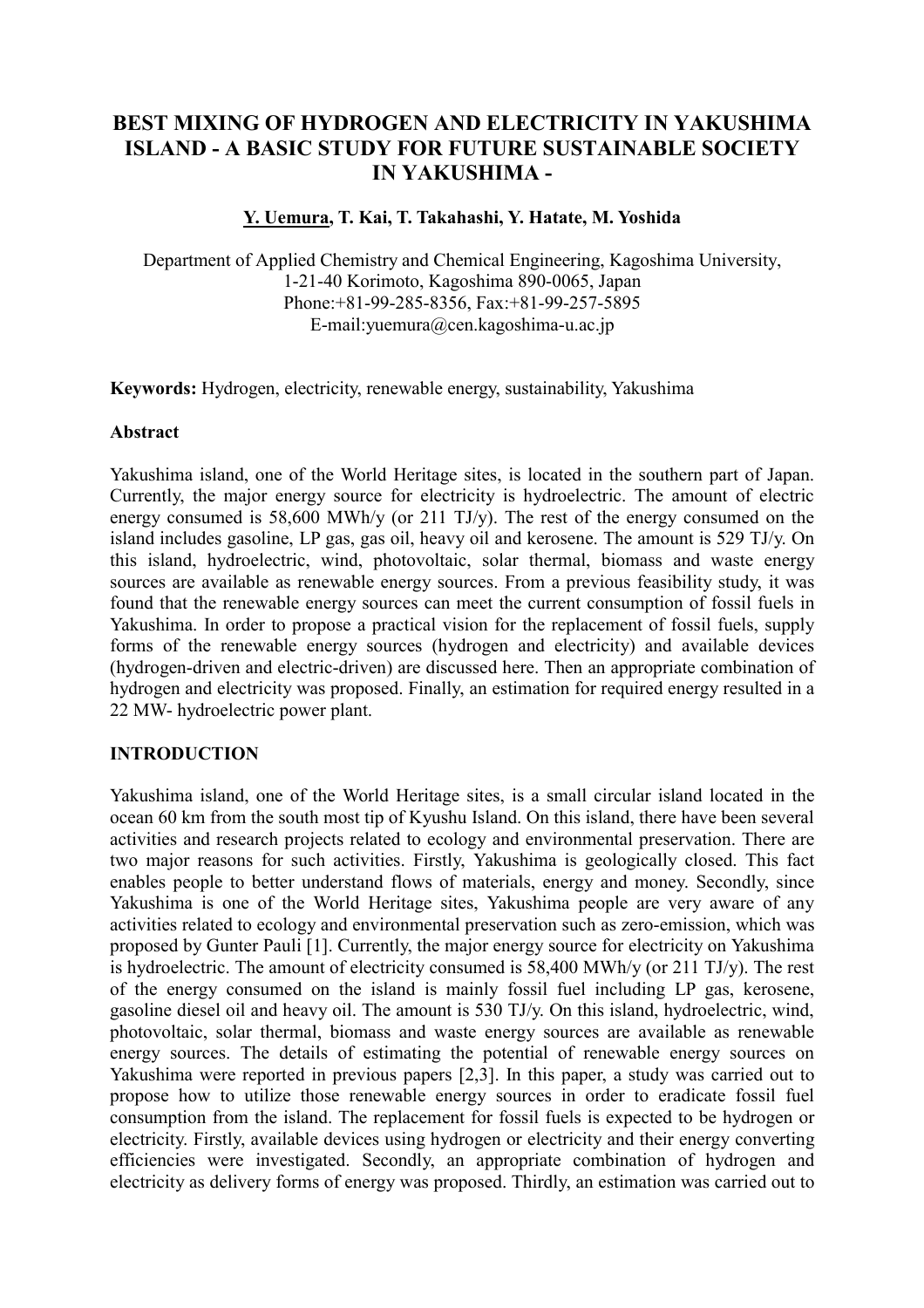# **BEST MIXING OF HYDROGEN AND ELECTRICITY IN YAKUSHIMA ISLAND - A BASIC STUDY FOR FUTURE SUSTAINABLE SOCIETY IN YAKUSHIMA -**

#### **Y. Uemura, T. Kai, T. Takahashi, Y. Hatate, M. Yoshida**

Department of Applied Chemistry and Chemical Engineering, Kagoshima University, 1-21-40 Korimoto, Kagoshima 890-0065, Japan Phone:+81-99-285-8356, Fax:+81-99-257-5895 E-mail:yuemura@cen.kagoshima-u.ac.jp

**Keywords:** Hydrogen, electricity, renewable energy, sustainability, Yakushima

#### **Abstract**

Yakushima island, one of the World Heritage sites, is located in the southern part of Japan. Currently, the major energy source for electricity is hydroelectric. The amount of electric energy consumed is 58,600 MWh/y (or 211 TJ/y). The rest of the energy consumed on the island includes gasoline, LP gas, gas oil, heavy oil and kerosene. The amount is 529 TJ/y. On this island, hydroelectric, wind, photovoltaic, solar thermal, biomass and waste energy sources are available as renewable energy sources. From a previous feasibility study, it was found that the renewable energy sources can meet the current consumption of fossil fuels in Yakushima. In order to propose a practical vision for the replacement of fossil fuels, supply forms of the renewable energy sources (hydrogen and electricity) and available devices (hydrogen-driven and electric-driven) are discussed here. Then an appropriate combination of hydrogen and electricity was proposed. Finally, an estimation for required energy resulted in a 22 MW- hydroelectric power plant.

# **INTRODUCTION**

Yakushima island, one of the World Heritage sites, is a small circular island located in the ocean 60 km from the south most tip of Kyushu Island. On this island, there have been several activities and research projects related to ecology and environmental preservation. There are two major reasons for such activities. Firstly, Yakushima is geologically closed. This fact enables people to better understand flows of materials, energy and money. Secondly, since Yakushima is one of the World Heritage sites, Yakushima people are very aware of any activities related to ecology and environmental preservation such as zero-emission, which was proposed by Gunter Pauli [1]. Currently, the major energy source for electricity on Yakushima is hydroelectric. The amount of electricity consumed is 58,400 MWh/y (or 211 TJ/y). The rest of the energy consumed on the island is mainly fossil fuel including LP gas, kerosene, gasoline diesel oil and heavy oil. The amount is 530 TJ/y. On this island, hydroelectric, wind, photovoltaic, solar thermal, biomass and waste energy sources are available as renewable energy sources. The details of estimating the potential of renewable energy sources on Yakushima were reported in previous papers [2,3]. In this paper, a study was carried out to propose how to utilize those renewable energy sources in order to eradicate fossil fuel consumption from the island. The replacement for fossil fuels is expected to be hydrogen or electricity. Firstly, available devices using hydrogen or electricity and their energy converting efficiencies were investigated. Secondly, an appropriate combination of hydrogen and electricity as delivery forms of energy was proposed. Thirdly, an estimation was carried out to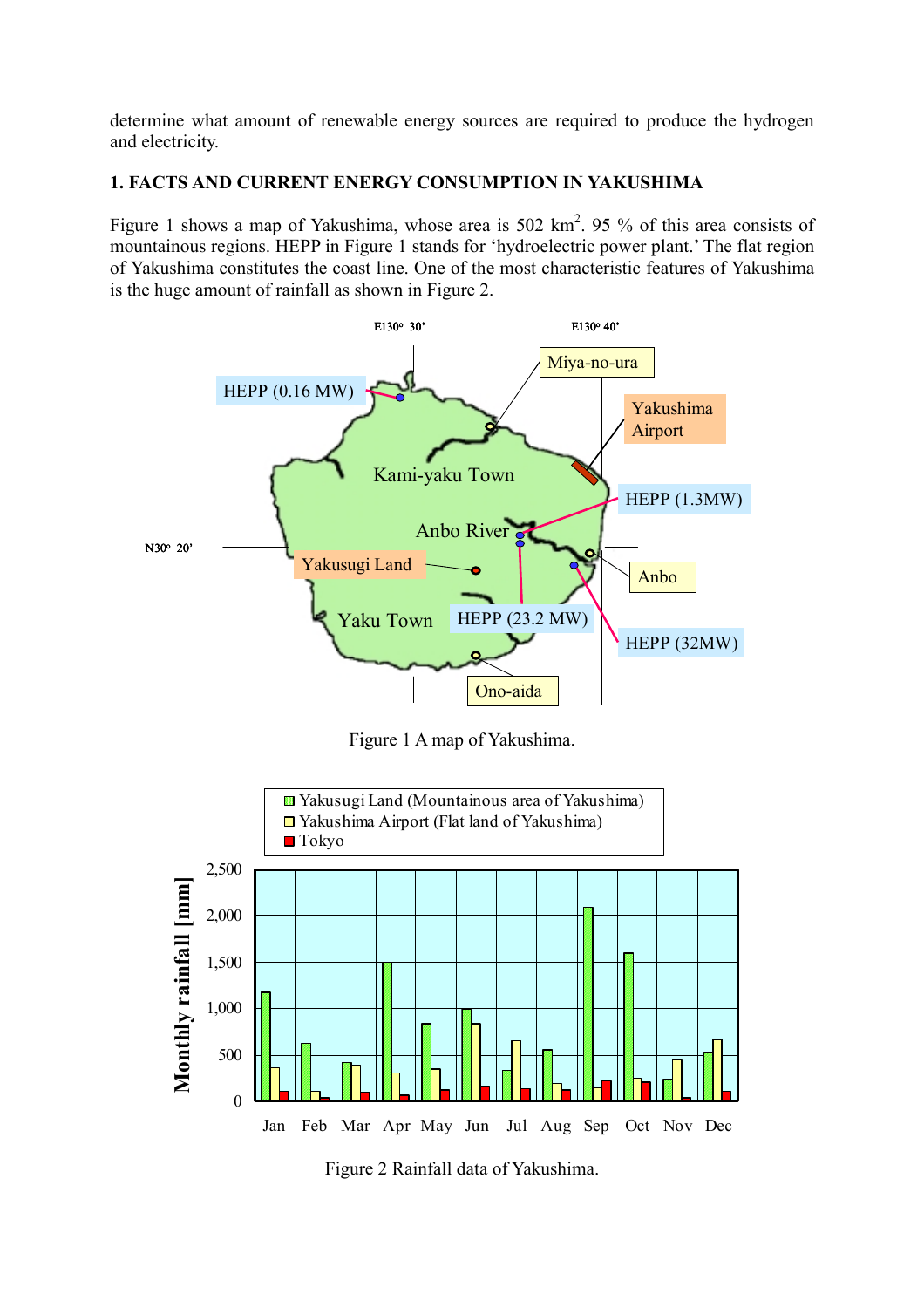determine what amount of renewable energy sources are required to produce the hydrogen and electricity.

# **1. FACTS AND CURRENT ENERGY CONSUMPTION IN YAKUSHIMA**

Figure 1 shows a map of Yakushima, whose area is  $502 \text{ km}^2$ . 95 % of this area consists of mountainous regions. HEPP in Figure 1 stands for 'hydroelectric power plant.' The flat region of Yakushima constitutes the coast line. One of the most characteristic features of Yakushima is the huge amount of rainfall as shown in Figure 2.



Figure 2 Rainfall data of Yakushima.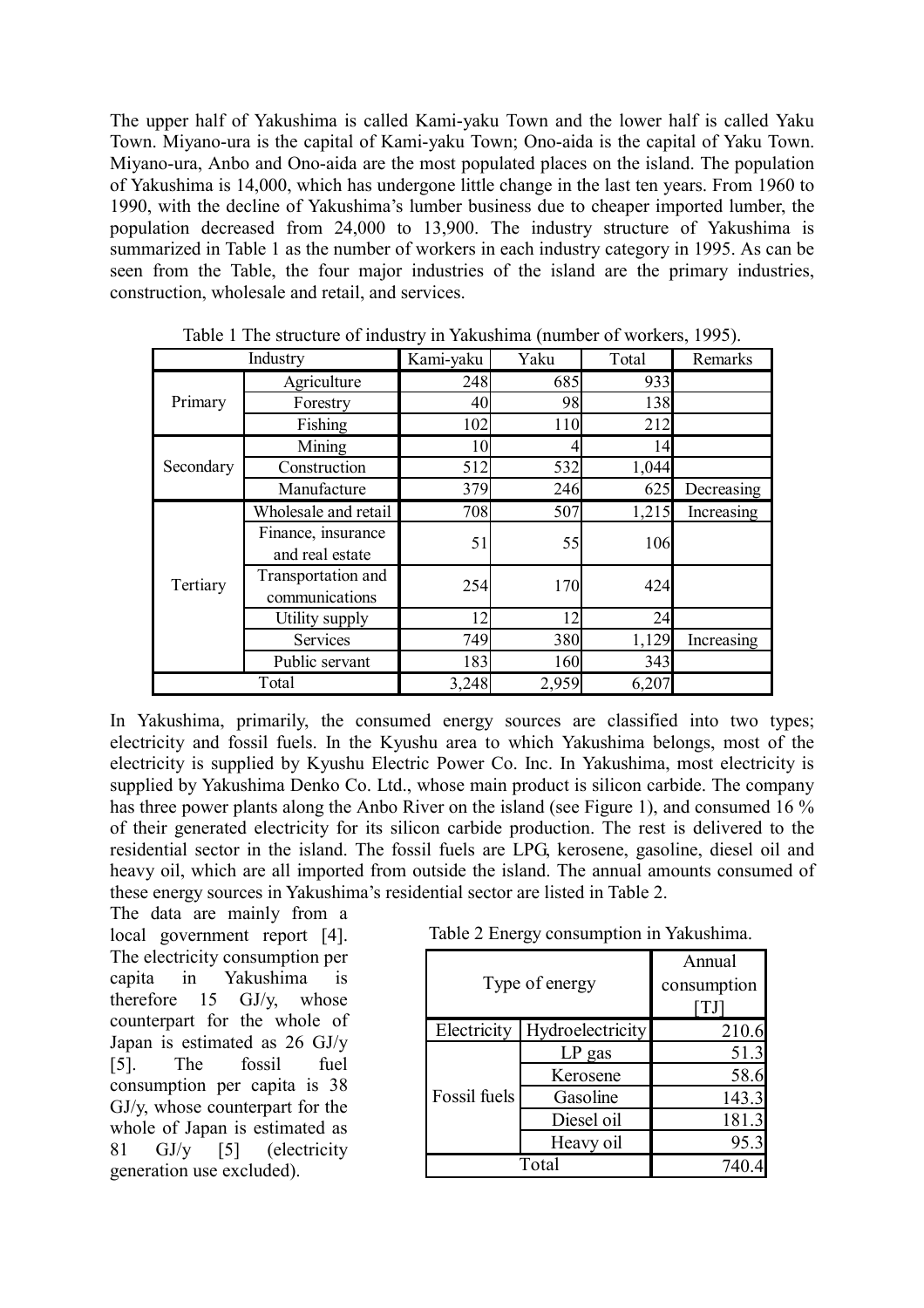The upper half of Yakushima is called Kami-yaku Town and the lower half is called Yaku Town. Miyano-ura is the capital of Kami-yaku Town; Ono-aida is the capital of Yaku Town. Miyano-ura, Anbo and Ono-aida are the most populated places on the island. The population of Yakushima is 14,000, which has undergone little change in the last ten years. From 1960 to 1990, with the decline of Yakushima's lumber business due to cheaper imported lumber, the population decreased from 24,000 to 13,900. The industry structure of Yakushima is summarized in Table 1 as the number of workers in each industry category in 1995. As can be seen from the Table, the four major industries of the island are the primary industries, construction, wholesale and retail, and services.

| Industry  |                      | Kami-yaku | Yaku  | Total | Remarks    |
|-----------|----------------------|-----------|-------|-------|------------|
| Primary   | Agriculture          | 248       | 685   | 933   |            |
|           | Forestry             | 40        | 98    | 138   |            |
|           | Fishing              | 102       | 110   | 212   |            |
| Secondary | Mining               | 10        |       | 14    |            |
|           | Construction         | 512       | 532   | 1,044 |            |
|           | Manufacture          | 379       | 246   | 625   | Decreasing |
| Tertiary  | Wholesale and retail | 708       | 507   | 1,215 | Increasing |
|           | Finance, insurance   | 51        | 55    | 106   |            |
|           | and real estate      |           |       |       |            |
|           | Transportation and   | 254       | 170   | 424   |            |
|           | communications       |           |       |       |            |
|           | Utility supply       | 12        | 12    | 24    |            |
|           | Services             | 749       | 380   | 1,129 | Increasing |
|           | Public servant       | 183       | 160   | 343   |            |
| Total     |                      | 3,248     | 2,959 | 6,207 |            |

Table 1 The structure of industry in Yakushima (number of workers, 1995).

In Yakushima, primarily, the consumed energy sources are classified into two types; electricity and fossil fuels. In the Kyushu area to which Yakushima belongs, most of the electricity is supplied by Kyushu Electric Power Co. Inc. In Yakushima, most electricity is supplied by Yakushima Denko Co. Ltd., whose main product is silicon carbide. The company has three power plants along the Anbo River on the island (see Figure 1), and consumed 16 % of their generated electricity for its silicon carbide production. The rest is delivered to the residential sector in the island. The fossil fuels are LPG, kerosene, gasoline, diesel oil and heavy oil, which are all imported from outside the island. The annual amounts consumed of these energy sources in Yakushima's residential sector are listed in Table 2.

The data are mainly from a local government report [4]. The electricity consumption per capita in Yakushima is therefore 15 GJ/y, whose counterpart for the whole of Japan is estimated as 26 GJ/y [5]. The fossil fuel consumption per capita is 38 GJ/y, whose counterpart for the whole of Japan is estimated as 81 GJ/y [5] (electricity generation use excluded).

Table 2 Energy consumption in Yakushima.

|                | Annual           |       |  |
|----------------|------------------|-------|--|
| Type of energy | consumption      |       |  |
|                |                  |       |  |
| Electricity    | Hydroelectricity | 210.6 |  |
|                | $LP$ gas         | 51.3  |  |
|                | Kerosene         | 58.6  |  |
| Fossil fuels   | Gasoline         | 143.3 |  |
|                | Diesel oil       | 181.3 |  |
|                | Heavy oil        | 95.3  |  |
| Total          |                  |       |  |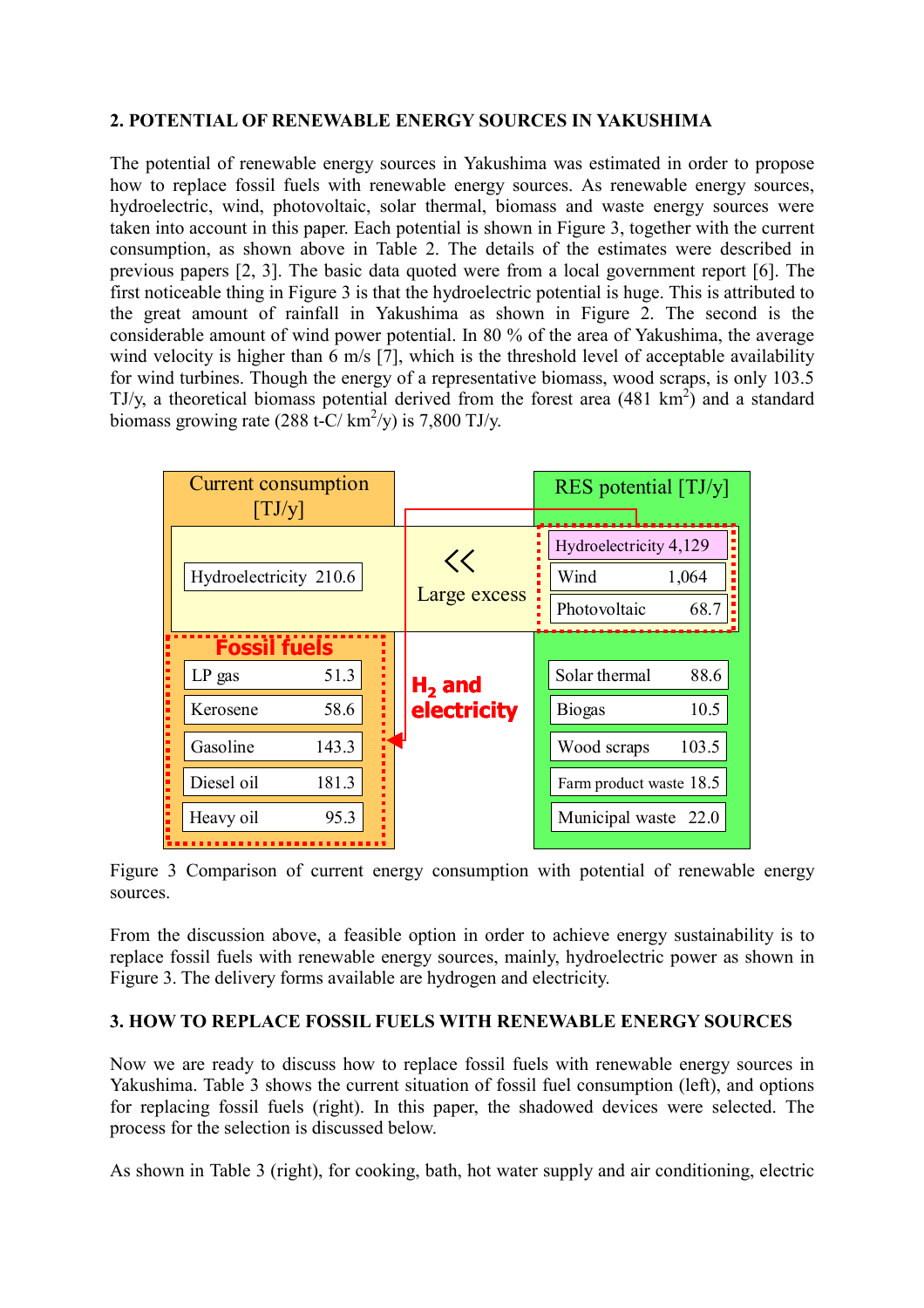# **2. POTENTIAL OF RENEWABLE ENERGY SOURCES IN YAKUSHIMA**

The potential of renewable energy sources in Yakushima was estimated in order to propose how to replace fossil fuels with renewable energy sources. As renewable energy sources, hydroelectric, wind, photovoltaic, solar thermal, biomass and waste energy sources were taken into account in this paper. Each potential is shown in Figure 3, together with the current consumption, as shown above in Table 2. The details of the estimates were described in previous papers [2, 3]. The basic data quoted were from a local government report [6]. The first noticeable thing in Figure 3 is that the hydroelectric potential is huge. This is attributed to the great amount of rainfall in Yakushima as shown in Figure 2. The second is the considerable amount of wind power potential. In 80 % of the area of Yakushima, the average wind velocity is higher than 6 m/s [7], which is the threshold level of acceptable availability for wind turbines. Though the energy of a representative biomass, wood scraps, is only 103.5 TJ/y, a theoretical biomass potential derived from the forest area  $(481 \text{ km}^2)$  and a standard biomass growing rate (288 t-C/ $\text{km}^2$ /y) is 7,800 TJ/y.

| <b>Current consumption</b> |                               |       | RES potential $[TJ/y]$ |                        |                         |  |
|----------------------------|-------------------------------|-------|------------------------|------------------------|-------------------------|--|
|                            | $\lfloor \text{TJ/y} \rfloor$ |       |                        |                        |                         |  |
|                            |                               |       | <<<br>Large excess     | Hydroelectricity 4,129 |                         |  |
|                            | Hydroelectricity 210.6        |       |                        | Wind<br>1,064          |                         |  |
|                            |                               |       |                        | 68.7<br>Photovoltaic   |                         |  |
|                            | <b>Fossil fuels</b>           |       |                        |                        |                         |  |
|                            | LP gas                        | 51.3  |                        | $H2$ and               | Solar thermal<br>88.6   |  |
|                            | Kerosene                      | 58.6  |                        | electricity            | 10.5<br><b>Biogas</b>   |  |
|                            | Gasoline                      | 143.3 |                        |                        | Wood scraps<br>103.5    |  |
|                            | Diesel oil                    | 181.3 |                        |                        | Farm product waste 18.5 |  |
|                            | Heavy oil                     | 95.3  |                        |                        | Municipal waste<br>22.0 |  |
|                            |                               |       |                        |                        |                         |  |

Figure 3 Comparison of current energy consumption with potential of renewable energy sources.

From the discussion above, a feasible option in order to achieve energy sustainability is to replace fossil fuels with renewable energy sources, mainly, hydroelectric power as shown in Figure 3. The delivery forms available are hydrogen and electricity.

#### **3. HOW TO REPLACE FOSSIL FUELS WITH RENEWABLE ENERGY SOURCES**

Now we are ready to discuss how to replace fossil fuels with renewable energy sources in Yakushima. Table 3 shows the current situation of fossil fuel consumption (left), and options for replacing fossil fuels (right). In this paper, the shadowed devices were selected. The process for the selection is discussed below.

As shown in Table 3 (right), for cooking, bath, hot water supply and air conditioning, electric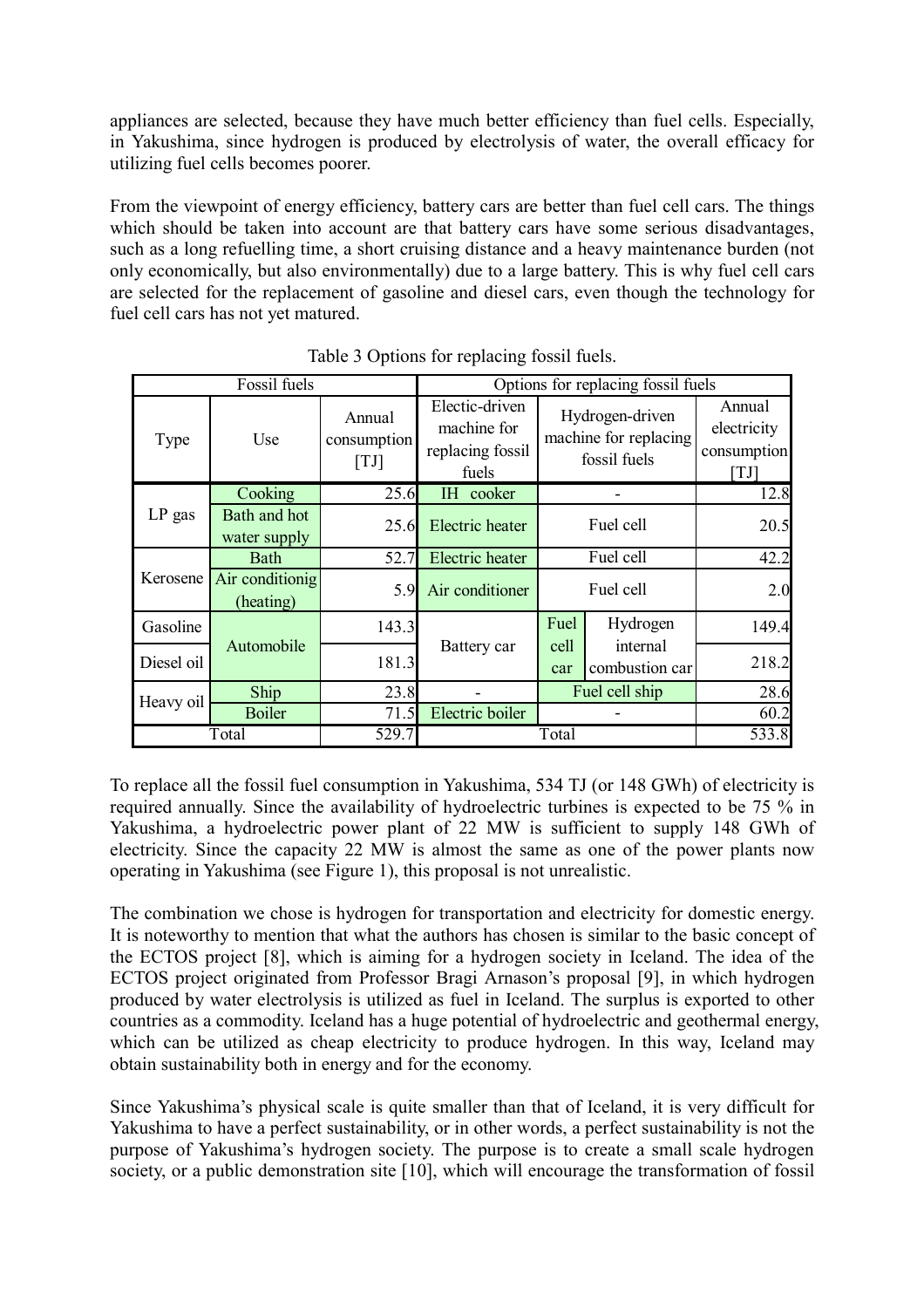appliances are selected, because they have much better efficiency than fuel cells. Especially, in Yakushima, since hydrogen is produced by electrolysis of water, the overall efficacy for utilizing fuel cells becomes poorer.

From the viewpoint of energy efficiency, battery cars are better than fuel cell cars. The things which should be taken into account are that battery cars have some serious disadvantages, such as a long refuelling time, a short cruising distance and a heavy maintenance burden (not only economically, but also environmentally) due to a large battery. This is why fuel cell cars are selected for the replacement of gasoline and diesel cars, even though the technology for fuel cell cars has not yet matured.

|            | Fossil fuels                 |                               | Options for replacing fossil fuels                         |             |                                                          |                                            |
|------------|------------------------------|-------------------------------|------------------------------------------------------------|-------------|----------------------------------------------------------|--------------------------------------------|
| Type       | Use                          | Annual<br>consumption<br>[TJ] | Electic-driven<br>machine for<br>replacing fossil<br>fuels |             | Hydrogen-driven<br>machine for replacing<br>fossil fuels | Annual<br>electricity<br>consumption<br>TJ |
| $LP$ gas   | Cooking                      | 25.6                          | IH cooker                                                  |             |                                                          | 12.8                                       |
|            | Bath and hot<br>water supply | 25.6                          | Electric heater                                            | Fuel cell   |                                                          | 20.5                                       |
| Kerosene   | Bath                         | 52.7                          | <b>Electric</b> heater                                     | Fuel cell   |                                                          | 42.2                                       |
|            | Air conditionig<br>(heating) | 5.9                           | Air conditioner                                            | Fuel cell   |                                                          | 2.0                                        |
| Gasoline   | Automobile                   | 143.3                         |                                                            | Fuel        | Hydrogen                                                 | 149.4                                      |
| Diesel oil |                              | 181.3                         | Battery car                                                | cell<br>car | internal<br>combustion car                               | 218.2                                      |
| Heavy oil  | Ship                         | 23.8                          | Fuel cell ship                                             |             | 28.6                                                     |                                            |
|            | <b>Boiler</b>                | 71.5                          | Electric boiler                                            |             |                                                          | 60.2                                       |
| Total      |                              | 529.7                         | Total                                                      |             | 533.8                                                    |                                            |

Table 3 Options for replacing fossil fuels.

To replace all the fossil fuel consumption in Yakushima, 534 TJ (or 148 GWh) of electricity is required annually. Since the availability of hydroelectric turbines is expected to be 75 % in Yakushima, a hydroelectric power plant of 22 MW is sufficient to supply 148 GWh of electricity. Since the capacity 22 MW is almost the same as one of the power plants now operating in Yakushima (see Figure 1), this proposal is not unrealistic.

The combination we chose is hydrogen for transportation and electricity for domestic energy. It is noteworthy to mention that what the authors has chosen is similar to the basic concept of the ECTOS project [8], which is aiming for a hydrogen society in Iceland. The idea of the ECTOS project originated from Professor Bragi Arnason's proposal [9], in which hydrogen produced by water electrolysis is utilized as fuel in Iceland. The surplus is exported to other countries as a commodity. Iceland has a huge potential of hydroelectric and geothermal energy, which can be utilized as cheap electricity to produce hydrogen. In this way, Iceland may obtain sustainability both in energy and for the economy.

Since Yakushima's physical scale is quite smaller than that of Iceland, it is very difficult for Yakushima to have a perfect sustainability, or in other words, a perfect sustainability is not the purpose of Yakushima's hydrogen society. The purpose is to create a small scale hydrogen society, or a public demonstration site [10], which will encourage the transformation of fossil